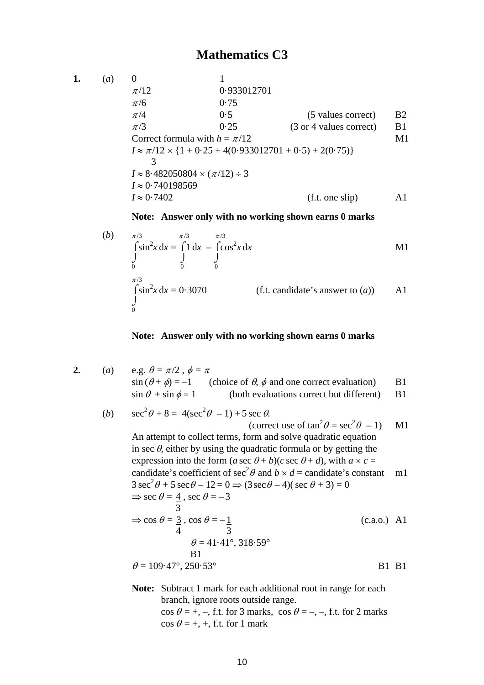**1.** (*a*) 0 1  $\pi/12$  0.933012701  $\pi/6$  0.75  $\pi/4$  0.5 (5 values correct) B2  $\pi/3$  0.25 (3 or 4 values correct) B1 Correct formula with  $h = \pi/12$  M1  $I \approx \frac{\pi}{12} \times \{1 + 0.25 + 4(0.933012701 + 0.5) + 2(0.75)\}$  3  $I \approx 8.482050804 \times (\pi/12) \div 3$ *I* ≈ 0·740198569  $I \approx 0.7402$  (f.t. one slip) A1

**Note: Answer only with no working shown earns 0 marks** 

(b) 
$$
\pi/3
$$
  
\n
$$
\int_{0}^{\pi/3} \sin^{2}x \, dx = \int_{0}^{\pi/3} 1 \, dx - \int_{0}^{\pi/3} \cos^{2}x \, dx
$$
\n
$$
\int_{0}^{\pi/3} \sin^{2}x \, dx = 0.3070
$$
\n  
\n(c) (f.t. candidate's answer to (a))

#### **Note: Answer only with no working shown earns 0 marks**

2. (a) e.g. 
$$
\theta = \pi/2
$$
,  $\phi = \pi$   
\n $\sin (\theta + \phi) = -1$  (choice of  $\theta$ ,  $\phi$  and one correct evaluation)  
\n $\sin \theta + \sin \phi = 1$  (both evaluations correct but different) B1

(b) 
$$
\sec^2 \theta + 8 = 4(\sec^2 \theta - 1) + 5 \sec \theta
$$
.

(correct use of 
$$
tan^2 \theta = sec^2 \theta - 1
$$
) M1  
\nAn attempt to collect terms, form and solve quadratic equation  
\nin sec θ, either by using the quadratic formula or by getting the  
\nexpression into the form  $(a sec θ + b)(c sec θ + d)$ , with  $a × c =$   
\ncandidate's coefficient of  $sec^2 θ$  and  $b × d =$  candidate's constant m1  
\n $3 sec^2 θ + 5 sec θ - 12 = 0 ⇒ (3 sec θ - 4)( sec θ + 3) = 0$   
\n $⇒ sec θ = \frac{4}{3}, sec θ = -3$   
\n $\frac{3}{3}$   
\n $⇒ cos θ = \frac{3}{3}, cos θ = -\frac{1}{4}$   
\n $4$   
\n $3$   
\n $θ = 41.41°, 318.59°$   
\nB1  
\n $θ = 109.47°, 250.53°$   
\nB1 B1

**Note:** Subtract 1 mark for each additional root in range for each branch, ignore roots outside range.  $\cos \theta = +, -$ , f.t. for 3 marks,  $\cos \theta = -, -$ , f.t. for 2 marks  $\cos \theta = +, +, \text{ f.t. for } 1 \text{ mark}$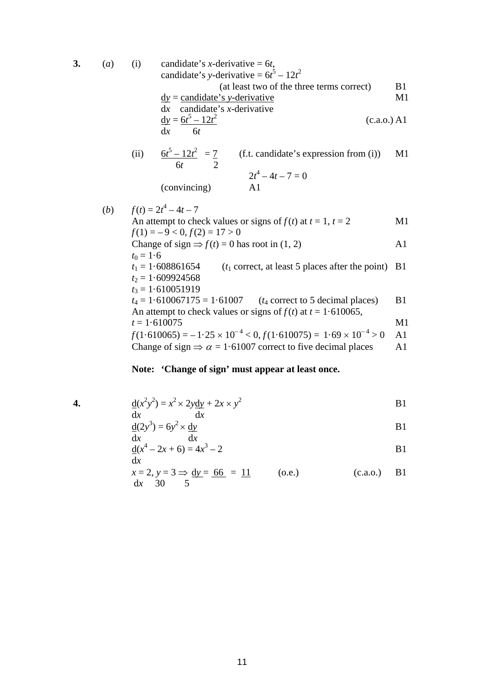3. (a) (i) candidate's *x*-derivative = 
$$
6t
$$
,  
\ncandidate's *y*-derivative =  $6t^5 - 12t^2$   
\n(at least two of the three terms correct) B1  
\n
$$
\frac{dy}{dx} = \frac{\text{candidate's } y\text{-derivative}}{\text{candidate's } x\text{-derivative}}
$$
 M1  
\n
$$
\frac{dy}{dx} = \frac{6t^5 - 12t^2}{6t}
$$
 (c.a.o.) A1  
\n(ii) 
$$
\frac{6t^5 - 12t^2}{6t} = \frac{7}{6}
$$
 (f.t. candidate's expression from (i)) M1

(ii) 
$$
\frac{6t^5 - 12t^2}{6t} = \frac{7}{2}
$$
 (f.t. candidate's expression from (i)) M1  

$$
2t^4 - 4t - 7 = 0
$$
  
(convincing) A1

(b) 
$$
f(t) = 2t^4 - 4t - 7
$$
  
\nAn attempt to check values or signs of  $f(t)$  at  $t = 1$ ,  $t = 2$   
\n $f(1) = -9 < 0$ ,  $f(2) = 17 > 0$   
\nChange of sign  $\Rightarrow f(t) = 0$  has root in (1, 2)  
\n $t_0 = 1.6$   
\n $t_1 = 1.608861654$  ( $t_1$  correct, at least 5 places after the point) B1  
\n $t_2 = 1.609924568$   
\n $t_3 = 1.610051919$   
\n $t_4 = 1.610067175 = 1.61007$  ( $t_4$  correct to 5 decimal places)  
\nAn attempt to check values or signs of  $f(t)$  at  $t = 1.610065$ ,  
\n $t = 1.610075$   
\n $f(1.610065) = -1.25 \times 10^{-4} < 0$ ,  $f(1.610075) = 1.69 \times 10^{-4} > 0$  A1  
\nChange of sign  $\Rightarrow \alpha = 1.61007$  correct to five decimal places

# **Note: 'Change of sign' must appear at least once.**

4. 
$$
\frac{d(x^2y^2)}{dx} = x^2 \times 2y \frac{dy}{dx} + 2x \times y^2
$$

$$
\frac{d}{dx}(2y^3) = 6y^2 \times \frac{dy}{dx}
$$
 B1

$$
\frac{d}{dx}(x^4 - 2x + 6) = 4x^3 - 2
$$
 B1

$$
x = 2, y = 3 \Rightarrow \underline{dy} = \underline{66} = \underline{11}
$$
 (o.e.) (c.a.o.) B1  
dx 30 5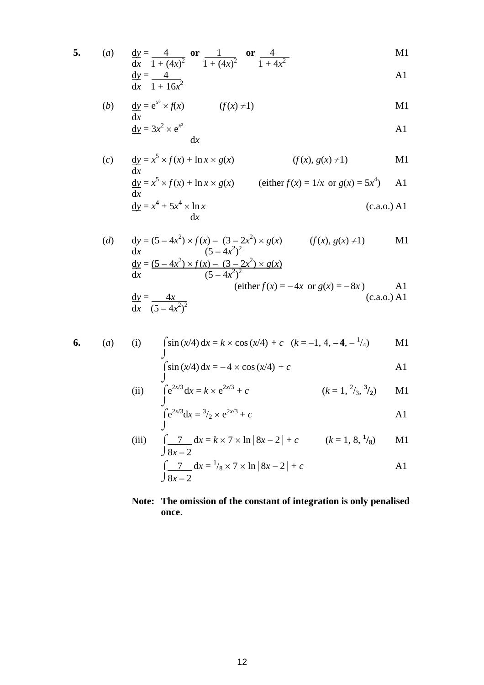5. (a) 
$$
\frac{dy}{dx} = \frac{4}{1 + (4x)^2}
$$
 or  $\frac{1}{1 + (4x)^2}$  or  $\frac{4}{1 + 4x^2}$  M1  
 $\frac{dy}{dx} = \frac{4}{1 + 16x^2}$  A1

$$
\frac{1}{x} - \frac{1}{1 + 16x^2}
$$

(b) 
$$
\frac{dy}{dx} = e^{x^3} \times f(x)
$$
 (f(x)  $\neq$ 1)  

$$
\frac{dy}{dx} = 3x^2 \times e^{x^3}
$$
 A1

$$
dx \qquad \qquad \text{A1}
$$

(c) 
$$
\frac{dy}{dx} = x^5 \times f(x) + \ln x \times g(x)
$$
 (f(x), g(x) \neq 1) M1

$$
\frac{dy}{dx} = x^5 \times f(x) + \ln x \times g(x)
$$
 (either  $f(x) = 1/x$  or  $g(x) = 5x^4$ ) A1  
\n
$$
\frac{dy}{dx} = x^4 + 5x^4 \times \ln x
$$
 (c.a.o.) A1

(d) 
$$
\frac{dy}{dx} = \frac{(5 - 4x^2) \times f(x) - (3 - 2x^2) \times g(x)}{(5 - 4x^2)^2}
$$
 (f(x), g(x)  $\neq$ 1) M1  
\n
$$
\frac{dy}{dx} = \frac{(5 - 4x^2) \times f(x) - (3 - 2x^2) \times g(x)}{(5 - 4x^2)^2}
$$
 (either f(x) = -4x or g(x) = -8x) A1  
\n
$$
\frac{dy}{dx} = \frac{4x}{(5 - 4x^2)^2}
$$
 (c.a.o.) A1

6. (a) (i) 
$$
\int \sin(x/4) dx = k \times \cos(x/4) + c
$$
  $(k = -1, 4, -4, -1/4)$  M1

$$
\int \sin (x/4) dx = -4 \times \cos (x/4) + c
$$
 A1

(ii) 
$$
\int e^{2x/3} dx = k \times e^{2x/3} + c
$$
  $(k = 1, \frac{2}{3}, \frac{3}{2})$  M1

$$
\int_{1}^{2\sqrt{3}} dx = \frac{3}{2} \times e^{2x/3} + c
$$

(iii) 
$$
\int \frac{7}{8x-2} dx = k \times 7 \times \ln |8x-2| + c \qquad (k = 1, 8, \frac{1}{8}) \qquad \text{M1}
$$

$$
\int \frac{7}{8x-2} dx = \frac{1}{8} \times 7 \times \ln |8x-2| + c \qquad \text{A1}
$$

## **Note: The omission of the constant of integration is only penalised once**.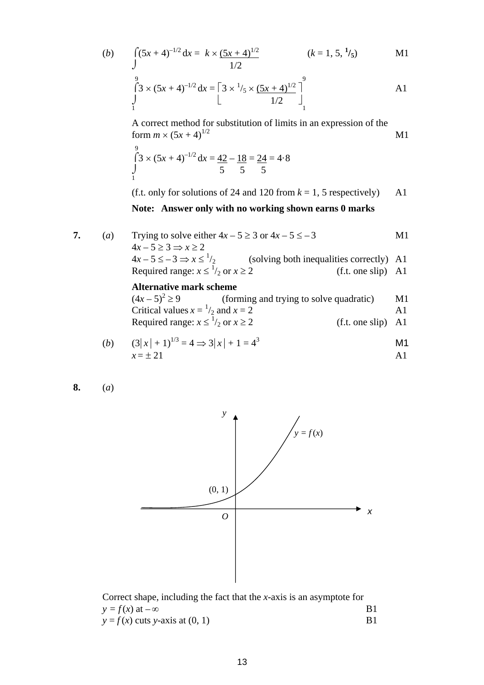(b) 
$$
\int_{0}^{2\pi} (5x + 4)^{-1/2} dx = k \times \frac{(5x + 4)^{1/2}}{1/2}
$$
 (k = 1, 5, <sup>1</sup>/<sub>5</sub>) M1  
\n8  
\n
$$
\int_{0}^{9} (3 \times (5x + 4)^{-1/2} dx = \left[3 \times \frac{1}{5} \times \frac{(5x + 4)^{1/2}}{1}\right]_{0}^{9}
$$
 A1

$$
\begin{array}{c}\n1 \\
\downarrow \\
\hline\n1/2\n\end{array}
$$

A correct method for substitution of limits in an expression of the form  $m \times (5x + 4)^{1/2}$  M1

$$
\int_{1}^{9} 3 \times (5x + 4)^{-1/2} dx = \frac{42}{5} - \frac{18}{5} = \frac{24}{5} = 4.8
$$

(f.t. only for solutions of 24 and 120 from  $k = 1$ , 5 respectively) A1

#### **Note: Answer only with no working shown earns 0 marks**

| 7. | $\left( a\right)$ | Trying to solve either $4x - 5 \ge 3$ or $4x - 5 \le -3$ |                                                                                      |                      | M1 |
|----|-------------------|----------------------------------------------------------|--------------------------------------------------------------------------------------|----------------------|----|
|    |                   | $4x-5\geq 3 \Rightarrow x\geq 2$                         |                                                                                      |                      |    |
|    |                   |                                                          | $4x-5 \le -3 \Rightarrow x \le \frac{1}{2}$ (solving both inequalities correctly) A1 |                      |    |
|    |                   | Required range: $x \le \frac{1}{2}$ or $x \ge 2$         |                                                                                      | $(f.t. one slip)$ A1 |    |
|    |                   | <b>Alternative mark scheme</b>                           |                                                                                      |                      |    |
|    |                   |                                                          | $(4x-5)^2 \ge 9$ (forming and trying to solve quadratic)                             |                      | M1 |
|    |                   | Critical values $x = \frac{1}{2}$ and $x = 2$            |                                                                                      |                      | A1 |

Required range: 
$$
x \le \frac{1}{2}
$$
 or  $x \ge 2$  (f.t. one slip) A1

(b) 
$$
(3|x| + 1)^{1/3} = 4 \Rightarrow 3|x| + 1 = 4^3
$$
  
  $x = \pm 21$  A1

$$
8. \qquad (a)
$$



Correct shape, including the fact that the *x*-axis is an asymptote for  $y = f(x)$  at  $-\infty$ <br>  $y = f(x)$  cuts v-axis at (0, 1) B1  $y = f(x)$  cuts *y*-axis at (0, 1)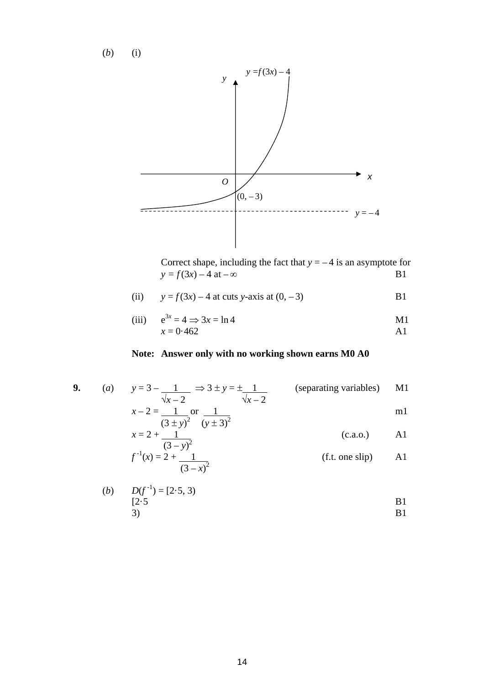(*b*) (i)



Correct shape, including the fact that  $y = -4$  is an asymptote for  $y = f(3x) - 4$  at  $-\infty$  B1  $y = f(3x) - 4$  at  $-\infty$ 

(ii) 
$$
y = f(3x) - 4
$$
 at cuts y-axis at  $(0, -3)$  B1

(iii) 
$$
e^{3x} = 4 \implies 3x = \ln 4
$$
  
  $x = 0.462$    
 A1

### **Note: Answer only with no working shown earns M0 A0**

9. (a) 
$$
y=3-\frac{1}{\sqrt{x-2}} \Rightarrow 3 \pm y = \pm \frac{1}{\sqrt{x-2}}
$$
 (separating variables) M1  
 $x-2=\frac{1}{(3 \pm y)^2}$  or  $\frac{1}{(y \pm 3)^2}$  m1  
 $x = 2 + \frac{1}{(3-y)^2}$  (c.a.o.) A1

$$
f^{-1}(x) = 2 + \frac{(3 - y)^2}{(3 - x)^2}
$$
 (f.t. one slip) A1

(b) 
$$
D(f^{-1}) = [2.5, 3)
$$
  
\n $[2.5$   
\nB1  
\nB1  
\nB1